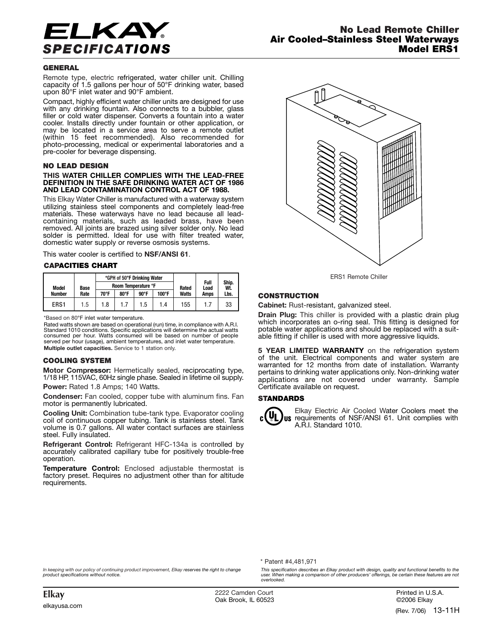

## **GENERAL**

Remote type, electric refrigerated, water chiller unit. Chilling capacity of 1.5 gallons per hour of 50°F drinking water, based upon 80°F inlet water and 90°F ambient.

Compact, highly efficient water chiller units are designed for use with any drinking fountain. Also connects to a bubbler, glass filler or cold water dispenser. Converts a fountain into a water cooler. Installs directly under fountain or other application, or may be located in a service area to serve a remote outlet (within 15 feet recommended). Also recommended for photo-processing, medical or experimental laboratories and a pre-cooler for beverage dispensing.

#### **NO LEAD DESIGN**

#### **THIS WATER CHILLER COMPLIES WITH THE LEAD-FREE DEFINITION IN THE SAFE DRINKING WATER ACT OF 1986 AND LEAD CONTAMINATION CONTROL ACT OF 1988.**

This Elkay Water Chiller is manufactured with a waterway system utilizing stainless steel components and completely lead-free materials. These waterways have no lead because all leadcontaining materials, such as leaded brass, have been removed. All joints are brazed using silver solder only. No lead solder is permitted. Ideal for use with filter treated water, domestic water supply or reverse osmosis systems.

This water cooler is certified to **NSF/ANSI 61**.

### **CAPACITIES CHART**

| Model<br>Number | Base<br>Rate | *GPH of 50°F Drinking Water<br>Room Temperature °F |                |                |       | Rated        | Full<br>Load | Ship.<br>Wt. |
|-----------------|--------------|----------------------------------------------------|----------------|----------------|-------|--------------|--------------|--------------|
|                 |              | 70°F                                               | $80^{\circ}$ F | $90^{\circ}$ F | 100°F | <b>Watts</b> | Amps         | Lbs.         |
| ERS1            | 1.5          | 1.8                                                |                | 1.5            | 1.4   | 155          | 1.7          | 33           |

\*Based on 80°F inlet water temperature.

Rated watts shown are based on operational (run) time, in compliance with A.R.I.<br>Standard 1010 conditions. Specific applications will determine the actual watts<br>consumed per hour. Watts consumed will be based on n served per hour (usage), ambient temperatures, and inlet water temperature. **Multiple outlet capacities.** Service to 1 station only.

#### **COOLING SYSTEM**

**Motor Compressor:** Hermetically sealed, reciprocating type, 1/18 HP, 115VAC, 60Hz single phase. Sealed in lifetime oil supply.

**Power:** Rated 1.8 Amps; 140 Watts.

**Condenser:** Fan cooled, copper tube with aluminum fins. Fan motor is permanently lubricated.

**Cooling Unit:** Combination tube-tank type. Evaporator cooling coil of continuous copper tubing. Tank is stainless steel. Tank volume is 0.7 gallons. All water contact surfaces are stainless steel. Fully insulated.

**Refrigerant Control:** Refrigerant HFC-134a is controlled by accurately calibrated capillary tube for positively trouble-free operation.

**Temperature Control:** Enclosed adjustable thermostat is factory preset. Requires no adjustment other than for altitude requirements.



ERS1 Remote Chiller

# **CONSTRUCTION**

**Cabinet:** Rust-resistant, galvanized steel.

**Drain Plug:** This chiller is provided with a plastic drain plug which incorporates an o-ring seal. This fitting is designed for potable water applications and should be replaced with a suitable fitting if chiller is used with more aggressive liquids.

**5 YEAR LIMITED WARRANTY** on the refrigeration system of the unit. Electrical components and water system are warranted for 12 months from date of installation. Warranty pertains to drinking water applications only. Non-drinking water applications are not covered under warranty. Sample Certificate available on request.

### **STANDARDS**



Elkay Electric Air Cooled Water Coolers meet the requirements of NSF/ANSI 61. Unit complies with A.R.I. Standard 1010.

\* Patent #4,481,971

*In keeping with our policy of continuing product improvement, Elkay reserves the right to change product specifications without notice.*

*This specification describes an Elkay product with design, quality and functional benefits to the user. When making a comparison of other producers' offerings, be certain these features are not overlooked.*

**Elkay** 2222 Camden Court Oak Brook, IL 60523